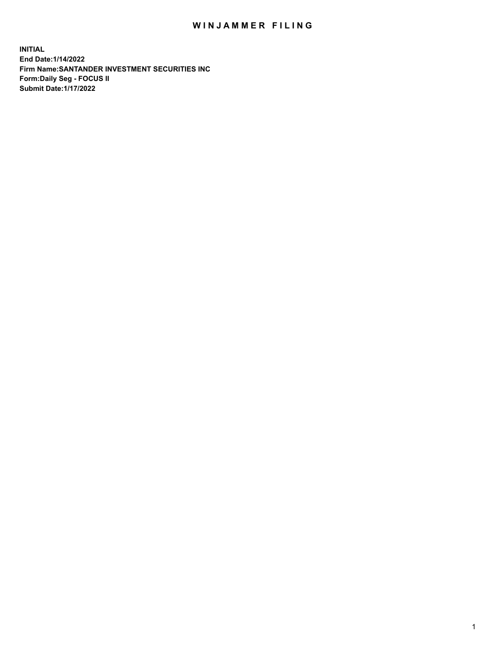## WIN JAMMER FILING

**INITIAL End Date:1/14/2022 Firm Name:SANTANDER INVESTMENT SECURITIES INC Form:Daily Seg - FOCUS II Submit Date:1/17/2022**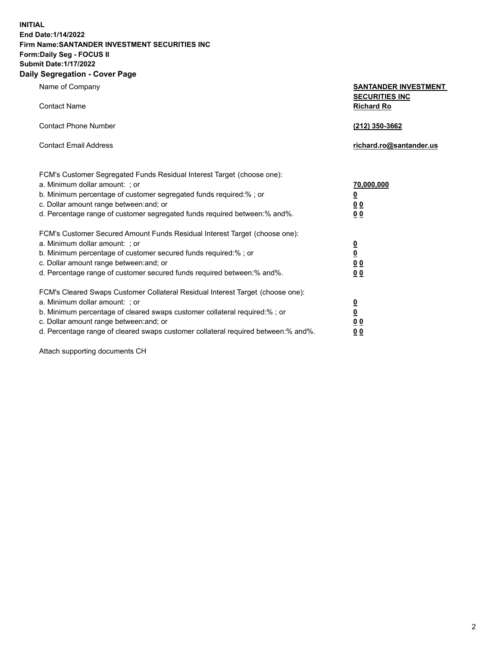**INITIAL End Date:1/14/2022 Firm Name:SANTANDER INVESTMENT SECURITIES INC Form:Daily Seg - FOCUS II Submit Date:1/17/2022 Daily Segregation - Cover Page**

Name of Company **SANTANDER INVESTMENT SECURITIES INC** Contact Name **Richard Ro** Contact Phone Number **(212) 350-3662** Contact Email Address **richard.ro@santander.us** FCM's Customer Segregated Funds Residual Interest Target (choose one): a. Minimum dollar amount: ; or **70,000,000** b. Minimum percentage of customer segregated funds required:% ; or **0** c. Dollar amount range between:and; or **0 0** d. Percentage range of customer segregated funds required between:% and%. **0 0** FCM's Customer Secured Amount Funds Residual Interest Target (choose one): a. Minimum dollar amount: ; or **0** b. Minimum percentage of customer secured funds required:% ; or **0** c. Dollar amount range between:and; or **0 0** d. Percentage range of customer secured funds required between:% and%. **0 0** FCM's Cleared Swaps Customer Collateral Residual Interest Target (choose one): a. Minimum dollar amount: ; or **0** b. Minimum percentage of cleared swaps customer collateral required:% ; or **0** c. Dollar amount range between:and; or **0 0**

d. Percentage range of cleared swaps customer collateral required between:% and%. **0 0**

Attach supporting documents CH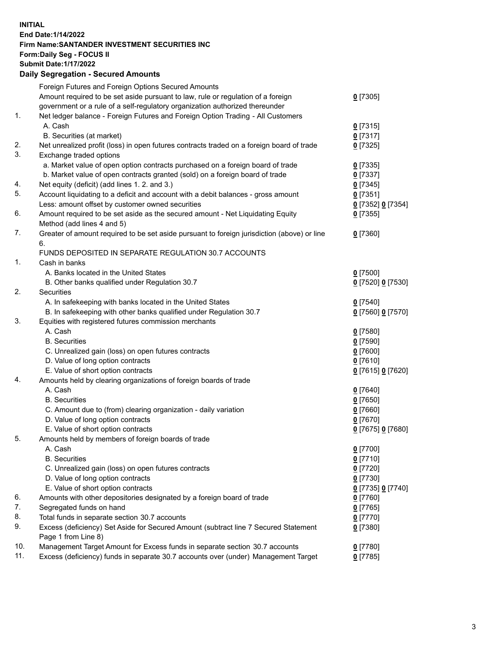## **INITIAL End Date:1/14/2022 Firm Name:SANTANDER INVESTMENT SECURITIES INC Form:Daily Seg - FOCUS II Submit Date:1/17/2022 Daily Segregation - Secured Amounts**

|     | Foreign Futures and Foreign Options Secured Amounts                                         |                   |
|-----|---------------------------------------------------------------------------------------------|-------------------|
|     | Amount required to be set aside pursuant to law, rule or regulation of a foreign            | $0$ [7305]        |
|     | government or a rule of a self-regulatory organization authorized thereunder                |                   |
| 1.  | Net ledger balance - Foreign Futures and Foreign Option Trading - All Customers             |                   |
|     | A. Cash                                                                                     | $0$ [7315]        |
|     | B. Securities (at market)                                                                   | $0$ [7317]        |
| 2.  | Net unrealized profit (loss) in open futures contracts traded on a foreign board of trade   | $0$ [7325]        |
| 3.  | Exchange traded options                                                                     |                   |
|     | a. Market value of open option contracts purchased on a foreign board of trade              | $0$ [7335]        |
|     | b. Market value of open contracts granted (sold) on a foreign board of trade                | $0$ [7337]        |
| 4.  | Net equity (deficit) (add lines 1. 2. and 3.)                                               | $0$ [7345]        |
| 5.  | Account liquidating to a deficit and account with a debit balances - gross amount           | $0$ [7351]        |
|     | Less: amount offset by customer owned securities                                            | 0 [7352] 0 [7354] |
| 6.  | Amount required to be set aside as the secured amount - Net Liquidating Equity              | $0$ [7355]        |
|     | Method (add lines 4 and 5)                                                                  |                   |
| 7.  | Greater of amount required to be set aside pursuant to foreign jurisdiction (above) or line | $0$ [7360]        |
|     | 6.                                                                                          |                   |
|     | FUNDS DEPOSITED IN SEPARATE REGULATION 30.7 ACCOUNTS                                        |                   |
| 1.  | Cash in banks                                                                               |                   |
|     | A. Banks located in the United States                                                       | $0$ [7500]        |
|     | B. Other banks qualified under Regulation 30.7                                              | 0 [7520] 0 [7530] |
| 2.  | Securities                                                                                  |                   |
|     | A. In safekeeping with banks located in the United States                                   | $0$ [7540]        |
|     | B. In safekeeping with other banks qualified under Regulation 30.7                          | 0 [7560] 0 [7570] |
| 3.  | Equities with registered futures commission merchants                                       |                   |
|     | A. Cash                                                                                     | $0$ [7580]        |
|     | <b>B.</b> Securities                                                                        | $0$ [7590]        |
|     | C. Unrealized gain (loss) on open futures contracts                                         | $0$ [7600]        |
|     | D. Value of long option contracts                                                           | $0$ [7610]        |
|     | E. Value of short option contracts                                                          | 0 [7615] 0 [7620] |
| 4.  | Amounts held by clearing organizations of foreign boards of trade                           |                   |
|     | A. Cash                                                                                     | $0$ [7640]        |
|     | <b>B.</b> Securities                                                                        | $0$ [7650]        |
|     | C. Amount due to (from) clearing organization - daily variation                             | $0$ [7660]        |
|     | D. Value of long option contracts                                                           | $0$ [7670]        |
|     | E. Value of short option contracts                                                          | 0 [7675] 0 [7680] |
| 5.  | Amounts held by members of foreign boards of trade                                          |                   |
|     | A. Cash                                                                                     | $0$ [7700]        |
|     | <b>B.</b> Securities                                                                        | $0$ [7710]        |
|     | C. Unrealized gain (loss) on open futures contracts                                         | $0$ [7720]        |
|     | D. Value of long option contracts                                                           | $0$ [7730]        |
|     | E. Value of short option contracts                                                          | 0 [7735] 0 [7740] |
| 6.  | Amounts with other depositories designated by a foreign board of trade                      | $0$ [7760]        |
| 7.  | Segregated funds on hand                                                                    | $0$ [7765]        |
| 8.  | Total funds in separate section 30.7 accounts                                               | $0$ [7770]        |
| 9.  | Excess (deficiency) Set Aside for Secured Amount (subtract line 7 Secured Statement         | $0$ [7380]        |
|     | Page 1 from Line 8)                                                                         |                   |
| 10. | Management Target Amount for Excess funds in separate section 30.7 accounts                 | $0$ [7780]        |
| 11. | Excess (deficiency) funds in separate 30.7 accounts over (under) Management Target          | $0$ [7785]        |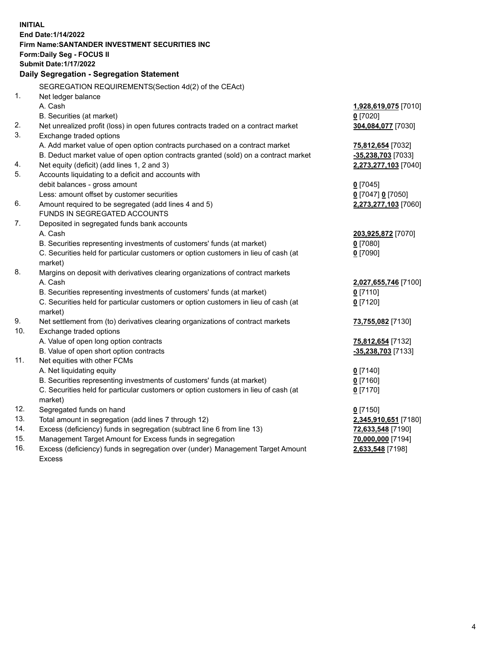| <b>INITIAL</b> |                                                                                            |                      |  |  |  |
|----------------|--------------------------------------------------------------------------------------------|----------------------|--|--|--|
|                | End Date: 1/14/2022                                                                        |                      |  |  |  |
|                | Firm Name: SANTANDER INVESTMENT SECURITIES INC                                             |                      |  |  |  |
|                | <b>Form:Daily Seg - FOCUS II</b>                                                           |                      |  |  |  |
|                | <b>Submit Date: 1/17/2022</b>                                                              |                      |  |  |  |
|                | Daily Segregation - Segregation Statement                                                  |                      |  |  |  |
|                | SEGREGATION REQUIREMENTS(Section 4d(2) of the CEAct)                                       |                      |  |  |  |
| 1.             | Net ledger balance                                                                         |                      |  |  |  |
|                | A. Cash                                                                                    | 1,928,619,075 [7010] |  |  |  |
|                | B. Securities (at market)                                                                  | $0$ [7020]           |  |  |  |
| 2.             | Net unrealized profit (loss) in open futures contracts traded on a contract market         | 304,084,077 [7030]   |  |  |  |
| 3.             | Exchange traded options                                                                    |                      |  |  |  |
|                | A. Add market value of open option contracts purchased on a contract market                | 75,812,654 [7032]    |  |  |  |
|                | B. Deduct market value of open option contracts granted (sold) on a contract market        | -35,238,703 [7033]   |  |  |  |
| 4.             | Net equity (deficit) (add lines 1, 2 and 3)                                                | 2,273,277,103 [7040] |  |  |  |
| 5.             | Accounts liquidating to a deficit and accounts with                                        |                      |  |  |  |
|                | debit balances - gross amount                                                              | $0$ [7045]           |  |  |  |
|                | Less: amount offset by customer securities                                                 | 0 [7047] 0 [7050]    |  |  |  |
| 6.             | Amount required to be segregated (add lines 4 and 5)                                       | 2,273,277,103 [7060] |  |  |  |
|                | FUNDS IN SEGREGATED ACCOUNTS                                                               |                      |  |  |  |
| 7.             | Deposited in segregated funds bank accounts                                                |                      |  |  |  |
|                | A. Cash                                                                                    | 203,925,872 [7070]   |  |  |  |
|                | B. Securities representing investments of customers' funds (at market)                     | $0$ [7080]           |  |  |  |
|                | C. Securities held for particular customers or option customers in lieu of cash (at        | $0$ [7090]           |  |  |  |
|                | market)                                                                                    |                      |  |  |  |
| 8.             | Margins on deposit with derivatives clearing organizations of contract markets             |                      |  |  |  |
|                | A. Cash                                                                                    | 2,027,655,746 [7100] |  |  |  |
|                | B. Securities representing investments of customers' funds (at market)                     | $0$ [7110]           |  |  |  |
|                | C. Securities held for particular customers or option customers in lieu of cash (at        | $0$ [7120]           |  |  |  |
| 9.             | market)<br>Net settlement from (to) derivatives clearing organizations of contract markets | 73,755,082 [7130]    |  |  |  |
| 10.            | Exchange traded options                                                                    |                      |  |  |  |
|                | A. Value of open long option contracts                                                     | 75,812,654 [7132]    |  |  |  |
|                | B. Value of open short option contracts                                                    | -35,238,703 [7133]   |  |  |  |
| 11.            | Net equities with other FCMs                                                               |                      |  |  |  |
|                | A. Net liquidating equity                                                                  | $0$ [7140]           |  |  |  |
|                | B. Securities representing investments of customers' funds (at market)                     | $0$ [7160]           |  |  |  |
|                | C. Securities held for particular customers or option customers in lieu of cash (at        | $0$ [7170]           |  |  |  |
|                | market)                                                                                    |                      |  |  |  |
| 12.            | Segregated funds on hand                                                                   | $0$ [7150]           |  |  |  |
| 13.            | Total amount in segregation (add lines 7 through 12)                                       | 2,345,910,651 [7180] |  |  |  |
| 14.            | Excess (deficiency) funds in segregation (subtract line 6 from line 13)                    | 72,633,548 [7190]    |  |  |  |
| 15.            | Management Target Amount for Excess funds in segregation                                   | 70,000,000 [7194]    |  |  |  |
| 16.            | Excess (deficiency) funds in segregation over (under) Management Target Amount             | 2,633,548 [7198]     |  |  |  |
|                | <b>Excess</b>                                                                              |                      |  |  |  |